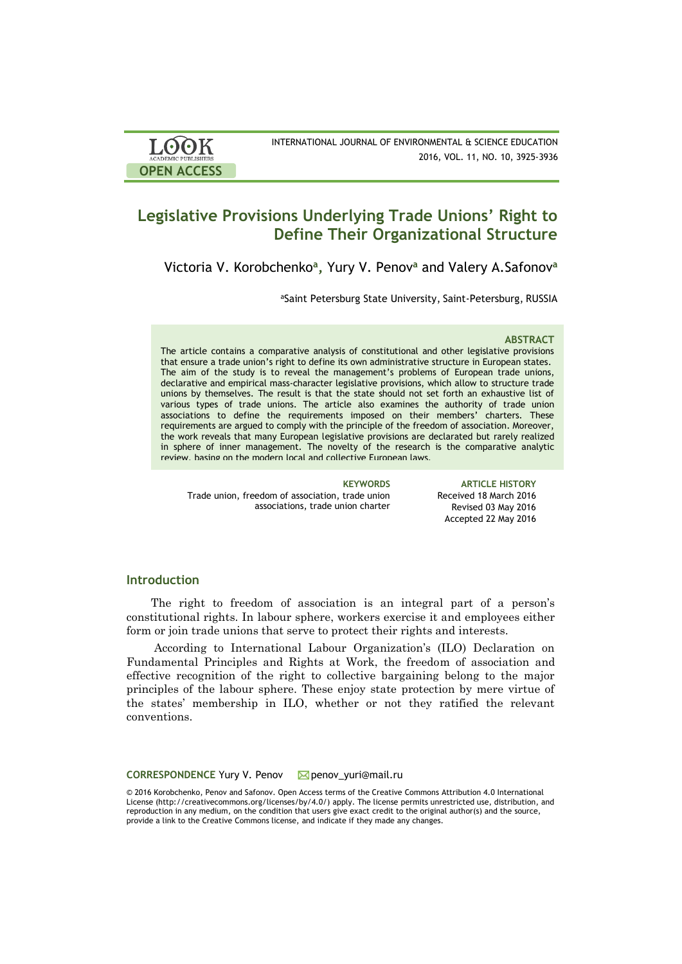| <b>LOOK</b>         | INTERNATIONAL JOURNAL OF ENVIRONMENTAL & SCIENCE EDUCATION |
|---------------------|------------------------------------------------------------|
| ACADEMIC PUBLISHERS | 2016, VOL. 11, NO. 10, 3925-3936                           |
| <b>OPEN ACCESS</b>  |                                                            |

# **Legislative Provisions Underlying Trade Unions' Right to Define Their Organizational Structure**

Victoria V. Korobchenko**<sup>a</sup> ,** Yury V. Penov**<sup>a</sup>** and Valery A.Safonov**<sup>a</sup>**

aSaint Petersburg State University, Saint-Petersburg, RUSSIA

### **ABSTRACT**

The article contains a comparative analysis of constitutional and other legislative provisions that ensure a trade union's right to define its own administrative structure in European states. The aim of the study is to reveal the management's problems of European trade unions, declarative and empirical mass-character legislative provisions, which allow to structure trade unions by themselves. The result is that the state should not set forth an exhaustive list of various types of trade unions. The article also examines the authority of trade union associations to define the requirements imposed on their members' charters. These requirements are argued to comply with the principle of the freedom of association. Moreover, the work reveals that many European legislative provisions are declarated but rarely realized in sphere of inner management. The novelty of the research is the comparative analytic review, basing on the modern local and collective European laws.

Trade union, freedom of association, trade union associations, trade union charter

**KEYWORDS ARTICLE HISTORY** Received 18 March 2016 Revised 03 May 2016 Accepted 22 May 2016

# **Introduction**

The right to freedom of association is an integral part of a person's constitutional rights. In labour sphere, workers exercise it and employees either form or join trade unions that serve to protect their rights and interests.

According to International Labour Organization's (ILO) Declaration on Fundamental Principles and Rights at Work, the freedom of association and effective recognition of the right to collective bargaining belong to the major principles of the labour sphere. These enjoy state protection by mere virtue of the states' membership in ILO, whether or not they ratified the relevant conventions.

CORRESPONDENCE Yury V. Penov Menov\_yuri@mail.ru

© 2016 Korobchenko, Penov and Safonov. Open Access terms of the Creative Commons Attribution 4.0 International License (http://creativecommons.org/licenses/by/4.0/) apply. The license permits unrestricted use, distribution, and reproduction in any medium, on the condition that users give exact credit to the original author(s) and the source, provide a link to the Creative Commons license, and indicate if they made any changes.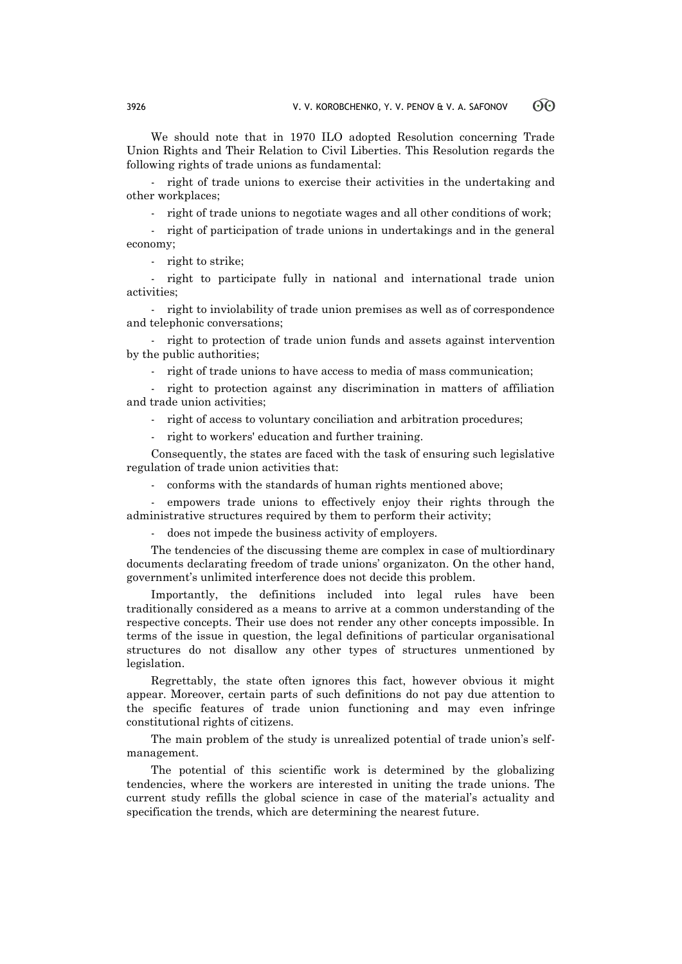We should note that in 1970 ILO adopted Resolution concerning Trade Union Rights and Their Relation to Civil Liberties. This Resolution regards the following rights of trade unions as fundamental:

- right of trade unions to exercise their activities in the undertaking and other workplaces;

right of trade unions to negotiate wages and all other conditions of work;

- right of participation of trade unions in undertakings and in the general economy;

- right to strike;

- right to participate fully in national and international trade union activities;

- right to inviolability of trade union premises as well as of correspondence and telephonic conversations;

- right to protection of trade union funds and assets against intervention by the public authorities;

- right of trade unions to have access to media of mass communication;

- right to protection against any discrimination in matters of affiliation and trade union activities;

- right of access to voluntary conciliation and arbitration procedures;

right to workers' education and further training.

Consequently, the states are faced with the task of ensuring such legislative regulation of trade union activities that:

- conforms with the standards of human rights mentioned above;

empowers trade unions to effectively enjoy their rights through the administrative structures required by them to perform their activity;

does not impede the business activity of employers.

The tendencies of the discussing theme are complex in case of multiordinary documents declarating freedom of trade unions' organizaton. On the other hand, government's unlimited interference does not decide this problem.

Importantly, the definitions included into legal rules have been traditionally considered as a means to arrive at a common understanding of the respective concepts. Their use does not render any other concepts impossible. In terms of the issue in question, the legal definitions of particular organisational structures do not disallow any other types of structures unmentioned by legislation.

Regrettably, the state often ignores this fact, however obvious it might appear. Moreover, certain parts of such definitions do not pay due attention to the specific features of trade union functioning and may even infringe constitutional rights of citizens.

The main problem of the study is unrealized potential of trade union's selfmanagement.

The potential of this scientific work is determined by the globalizing tendencies, where the workers are interested in uniting the trade unions. The current study refills the global science in case of the material's actuality and specification the trends, which are determining the nearest future.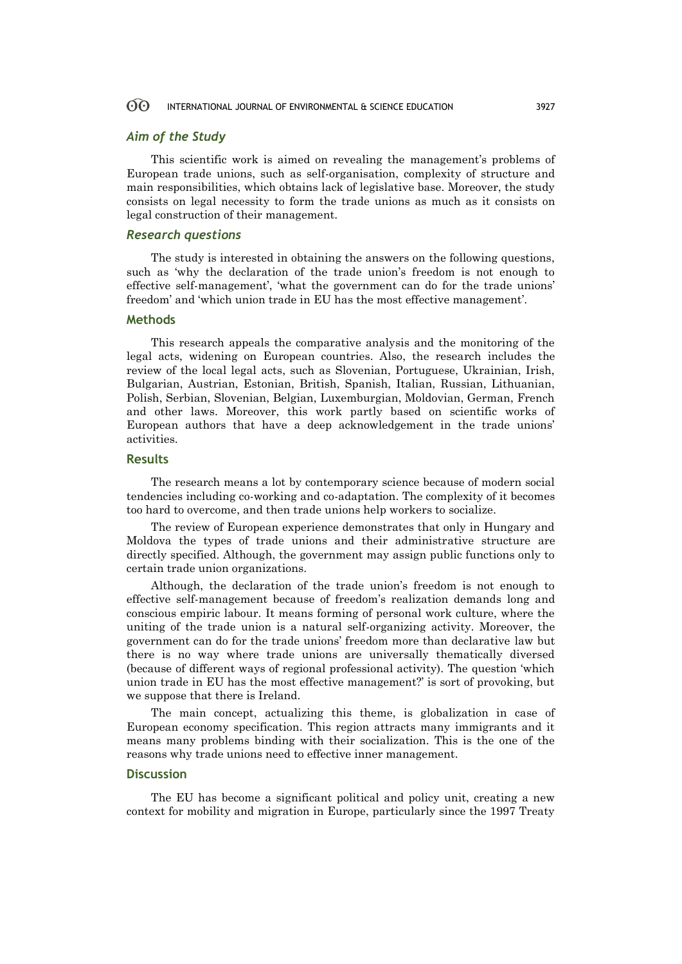### *Aim of the Study*

This scientific work is aimed on revealing the management's problems of European trade unions, such as self-organisation, complexity of structure and main responsibilities, which obtains lack of legislative base. Moreover, the study consists on legal necessity to form the trade unions as much as it consists on legal construction of their management.

# *Research questions*

The study is interested in obtaining the answers on the following questions, such as 'why the declaration of the trade union's freedom is not enough to effective self-management', 'what the government can do for the trade unions' freedom' and 'which union trade in EU has the most effective management'.

# **Methods**

This research appeals the comparative analysis and the monitoring of the legal acts, widening on European countries. Also, the research includes the review of the local legal acts, such as Slovenian, Portuguese, Ukrainian, Irish, Bulgarian, Austrian, Estonian, British, Spanish, Italian, Russian, Lithuanian, Polish, Serbian, Slovenian, Belgian, Luxemburgian, Moldovian, German, French and other laws. Moreover, this work partly based on scientific works of European authors that have a deep acknowledgement in the trade unions' activities.

## **Results**

The research means a lot by contemporary science because of modern social tendencies including co-working and co-adaptation. The complexity of it becomes too hard to overcome, and then trade unions help workers to socialize.

The review of European experience demonstrates that only in Hungary and Moldova the types of trade unions and their administrative structure are directly specified. Although, the government may assign public functions only to certain trade union organizations.

Although, the declaration of the trade union's freedom is not enough to effective self-management because of freedom's realization demands long and conscious empiric labour. It means forming of personal work culture, where the uniting of the trade union is a natural self-organizing activity. Moreover, the government can do for the trade unions' freedom more than declarative law but there is no way where trade unions are universally thematically diversed (because of different ways of regional professional activity). The question 'which union trade in EU has the most effective management?' is sort of provoking, but we suppose that there is Ireland.

The main concept, actualizing this theme, is globalization in case of European economy specification. This region attracts many immigrants and it means many problems binding with their socialization. This is the one of the reasons why trade unions need to effective inner management.

# **Discussion**

The EU has become a significant political and policy unit, creating a new context for mobility and migration in Europe, particularly since the 1997 Treaty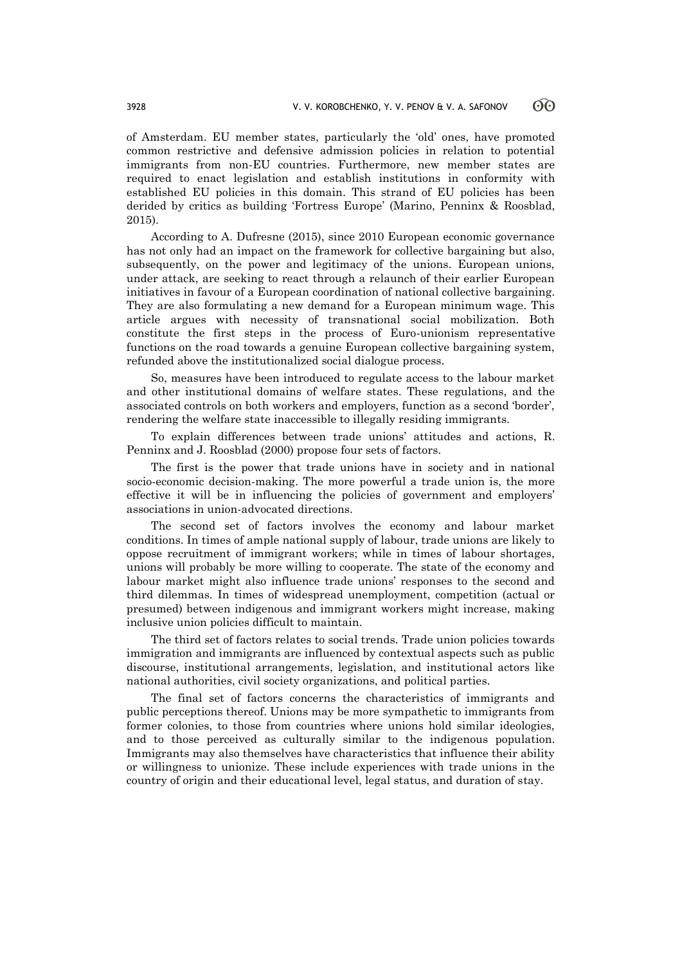of Amsterdam. EU member states, particularly the 'old' ones, have promoted common restrictive and defensive admission policies in relation to potential immigrants from non-EU countries. Furthermore, new member states are required to enact legislation and establish institutions in conformity with established EU policies in this domain. This strand of EU policies has been derided by critics as building 'Fortress Europe' (Marino, Penninx & Roosblad, 2015).

According to A. Dufresne (2015), since 2010 European economic governance has not only had an impact on the framework for collective bargaining but also, subsequently, on the power and legitimacy of the unions. European unions, under attack, are seeking to react through a relaunch of their earlier European initiatives in favour of a European coordination of national collective bargaining. They are also formulating a new demand for a European minimum wage. This article argues with necessity of transnational social mobilization. Both constitute the first steps in the process of Euro-unionism representative functions on the road towards a genuine European collective bargaining system, refunded above the institutionalized social dialogue process.

So, measures have been introduced to regulate access to the labour market and other institutional domains of welfare states. These regulations, and the associated controls on both workers and employers, function as a second 'border', rendering the welfare state inaccessible to illegally residing immigrants.

To explain differences between trade unions' attitudes and actions, R. Penninx and J. Roosblad (2000) propose four sets of factors.

The first is the power that trade unions have in society and in national socio-economic decision-making. The more powerful a trade union is, the more effective it will be in influencing the policies of government and employers' associations in union-advocated directions.

The second set of factors involves the economy and labour market conditions. In times of ample national supply of labour, trade unions are likely to oppose recruitment of immigrant workers; while in times of labour shortages, unions will probably be more willing to cooperate. The state of the economy and labour market might also influence trade unions' responses to the second and third dilemmas. In times of widespread unemployment, competition (actual or presumed) between indigenous and immigrant workers might increase, making inclusive union policies difficult to maintain.

The third set of factors relates to social trends. Trade union policies towards immigration and immigrants are influenced by contextual aspects such as public discourse, institutional arrangements, legislation, and institutional actors like national authorities, civil society organizations, and political parties.

The final set of factors concerns the characteristics of immigrants and public perceptions thereof. Unions may be more sympathetic to immigrants from former colonies, to those from countries where unions hold similar ideologies, and to those perceived as culturally similar to the indigenous population. Immigrants may also themselves have characteristics that influence their ability or willingness to unionize. These include experiences with trade unions in the country of origin and their educational level, legal status, and duration of stay.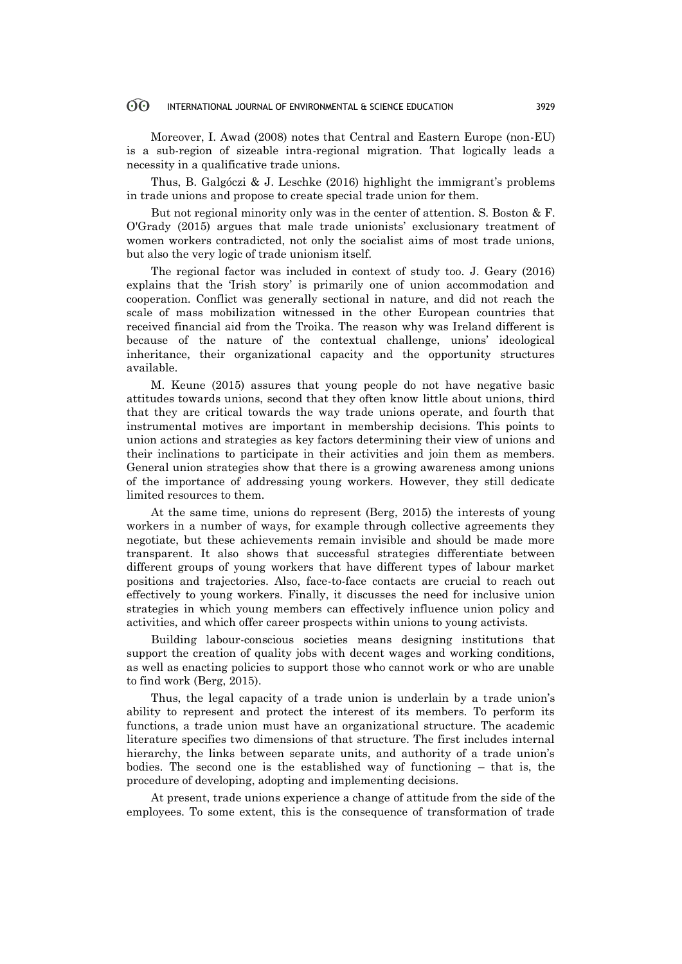Moreover, I. Awad (2008) notes that Central and Eastern Europe (non-EU) is a sub-region of sizeable intra-regional migration. That logically leads a necessity in a qualificative trade unions.

Thus, B. Galgóczi & J. Leschke (2016) highlight the immigrant's problems in trade unions and propose to create special trade union for them.

But not regional minority only was in the center of attention. S. Boston & F. O'Grady (2015) argues that male trade unionists' exclusionary treatment of women workers contradicted, not only the socialist aims of most trade unions, but also the very logic of trade unionism itself.

The regional factor was included in context of study too. J. Geary (2016) explains that the 'Irish story' is primarily one of union accommodation and cooperation. Conflict was generally sectional in nature, and did not reach the scale of mass mobilization witnessed in the other European countries that received financial aid from the Troika. The reason why was Ireland different is because of the nature of the contextual challenge, unions' ideological inheritance, their organizational capacity and the opportunity structures available.

M. Keune (2015) assures that young people do not have negative basic attitudes towards unions, second that they often know little about unions, third that they are critical towards the way trade unions operate, and fourth that instrumental motives are important in membership decisions. This points to union actions and strategies as key factors determining their view of unions and their inclinations to participate in their activities and join them as members. General union strategies show that there is a growing awareness among unions of the importance of addressing young workers. However, they still dedicate limited resources to them.

At the same time, unions do represent (Berg, 2015) the interests of young workers in a number of ways, for example through collective agreements they negotiate, but these achievements remain invisible and should be made more transparent. It also shows that successful strategies differentiate between different groups of young workers that have different types of labour market positions and trajectories. Also, face-to-face contacts are crucial to reach out effectively to young workers. Finally, it discusses the need for inclusive union strategies in which young members can effectively influence union policy and activities, and which offer career prospects within unions to young activists.

Building labour-conscious societies means designing institutions that support the creation of quality jobs with decent wages and working conditions, as well as enacting policies to support those who cannot work or who are unable to find work (Berg, 2015).

Thus, the legal capacity of a trade union is underlain by a trade union's ability to represent and protect the interest of its members. To perform its functions, a trade union must have an organizational structure. The academic literature specifies two dimensions of that structure. The first includes internal hierarchy, the links between separate units, and authority of a trade union's bodies. The second one is the established way of functioning – that is, the procedure of developing, adopting and implementing decisions.

At present, trade unions experience a change of attitude from the side of the employees. To some extent, this is the consequence of transformation of trade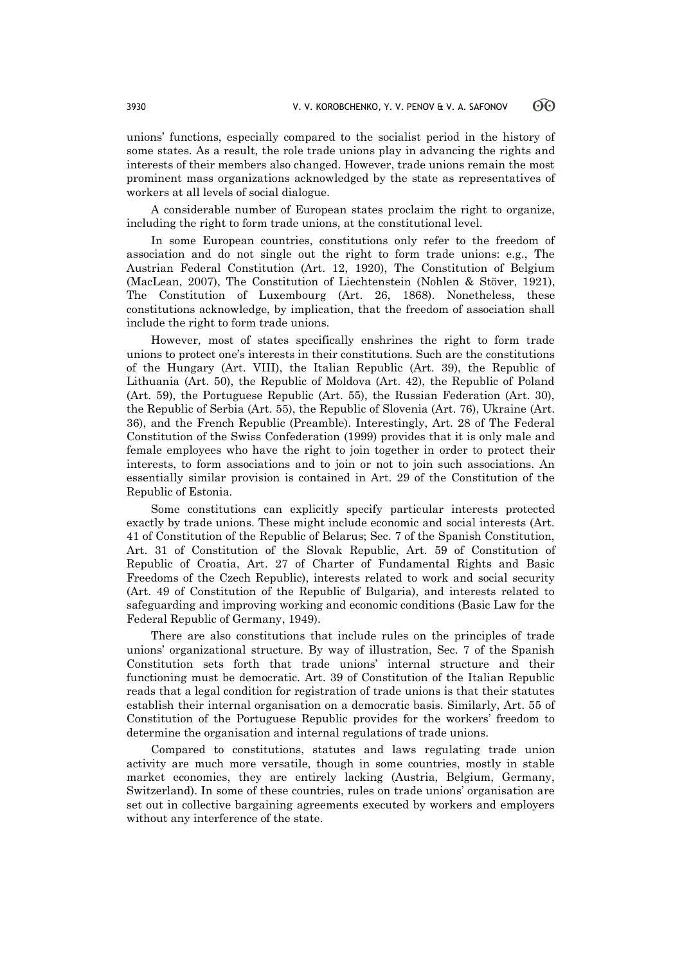unions' functions, especially compared to the socialist period in the history of some states. As a result, the role trade unions play in advancing the rights and interests of their members also changed. However, trade unions remain the most prominent mass organizations acknowledged by the state as representatives of workers at all levels of social dialogue.

A considerable number of European states proclaim the right to organize, including the right to form trade unions, at the constitutional level.

In some European countries, constitutions only refer to the freedom of association and do not single out the right to form trade unions: e.g., The Austrian Federal Constitution (Art. 12, 1920), The Constitution of Belgium (MacLean, 2007), The Constitution of Liechtenstein (Nohlen & Stöver, 1921), The Constitution of Luxembourg (Art. 26, 1868). Nonetheless, these constitutions acknowledge, by implication, that the freedom of association shall include the right to form trade unions.

However, most of states specifically enshrines the right to form trade unions to protect one's interests in their constitutions. Such are the constitutions of the Hungary (Art. VIII), the Italian Republic (Art. 39), the Republic of Lithuania (Art. 50), the Republic of Moldova (Art. 42), the Republic of Poland (Art. 59), the Portuguese Republic (Art. 55), the Russian Federation (Art. 30), the Republic of Serbia (Art. 55), the Republic of Slovenia (Art. 76), Ukraine (Art. 36), and the French Republic (Preamble). Interestingly, Art. 28 of The Federal Constitution of the Swiss Confederation (1999) provides that it is only male and female employees who have the right to join together in order to protect their interests, to form associations and to join or not to join such associations. An essentially similar provision is contained in Art. 29 of the Constitution of the Republic of Estonia.

Some constitutions can explicitly specify particular interests protected exactly by trade unions. These might include economic and social interests (Art. 41 of Constitution of the Republic of Belarus; Sec. 7 of the Spanish Constitution, Art. 31 of Constitution of the Slovak Republic, Art. 59 of Constitution of Republic of Croatia, Art. 27 of Charter of Fundamental Rights and Basic Freedoms of the Czech Republic), interests related to work and social security (Art. 49 of Constitution of the Republic of Bulgaria), and interests related to safeguarding and improving working and economic conditions (Basic Law for the Federal Republic of Germany, 1949).

There are also constitutions that include rules on the principles of trade unions' organizational structure. By way of illustration, Sec. 7 of the Spanish Constitution sets forth that trade unions' internal structure and their functioning must be democratic. Art. 39 of Constitution of the Italian Republic reads that a legal condition for registration of trade unions is that their statutes establish their internal organisation on a democratic basis. Similarly, Art. 55 of Constitution of the Portuguese Republic provides for the workers' freedom to determine the organisation and internal regulations of trade unions.

Compared to constitutions, statutes and laws regulating trade union activity are much more versatile, though in some countries, mostly in stable market economies, they are entirely lacking (Austria, Belgium, Germany, Switzerland). In some of these countries, rules on trade unions' organisation are set out in collective bargaining agreements executed by workers and employers without any interference of the state.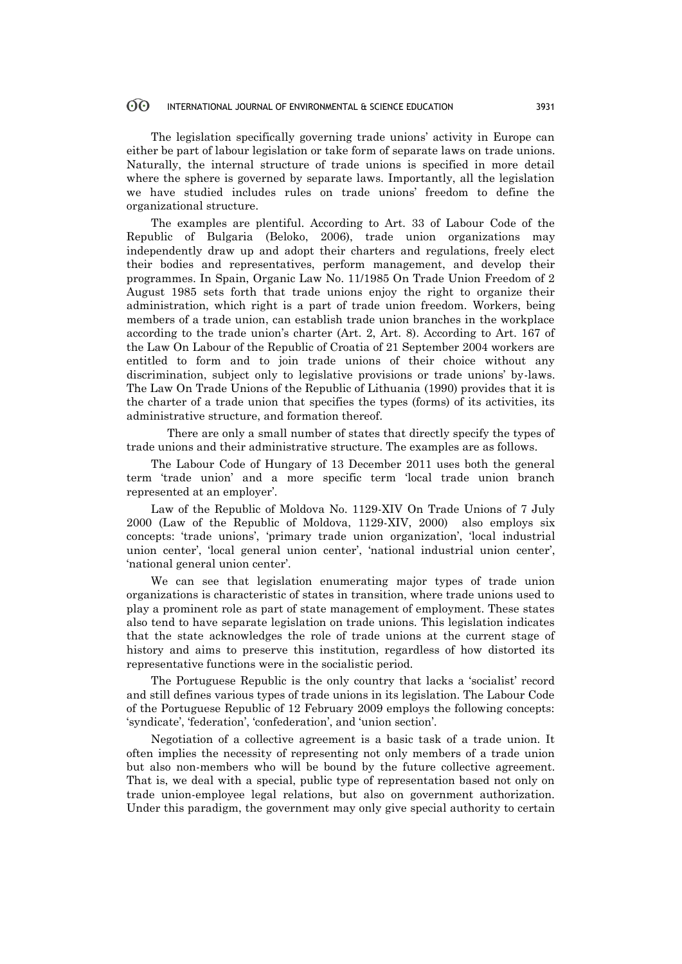The legislation specifically governing trade unions' activity in Europe can either be part of labour legislation or take form of separate laws on trade unions. Naturally, the internal structure of trade unions is specified in more detail where the sphere is governed by separate laws. Importantly, all the legislation we have studied includes rules on trade unions' freedom to define the organizational structure.

The examples are plentiful. According to Art. 33 of Labour Code of the Republic of Bulgaria (Beloko, 2006), trade union organizations may independently draw up and adopt their charters and regulations, freely elect their bodies and representatives, perform management, and develop their programmes. In Spain, Organic Law No. 11/1985 On Trade Union Freedom of 2 August 1985 sets forth that trade unions enjoy the right to organize their administration, which right is a part of trade union freedom. Workers, being members of a trade union, can establish trade union branches in the workplace according to the trade union's charter (Art. 2, Art. 8). According to Art. 167 of the Law On Labour of the Republic of Croatia of 21 September 2004 workers are entitled to form and to join trade unions of their choice without any discrimination, subject only to legislative provisions or trade unions' by-laws. The Law On Trade Unions of the Republic of Lithuania (1990) provides that it is the charter of a trade union that specifies the types (forms) of its activities, its administrative structure, and formation thereof.

There are only a small number of states that directly specify the types of trade unions and their administrative structure. The examples are as follows.

The Labour Code of Hungary of 13 December 2011 uses both the general term 'trade union' and a more specific term 'local trade union branch represented at an employer'.

Law of the Republic of Moldova No. 1129-XIV On Trade Unions of 7 July 2000 (Law of the Republic of Moldova, 1129-XIV, 2000) also employs six concepts: 'trade unions', 'primary trade union organization', 'local industrial union center', 'local general union center', 'national industrial union center', 'national general union center'.

We can see that legislation enumerating major types of trade union organizations is characteristic of states in transition, where trade unions used to play a prominent role as part of state management of employment. These states also tend to have separate legislation on trade unions. This legislation indicates that the state acknowledges the role of trade unions at the current stage of history and aims to preserve this institution, regardless of how distorted its representative functions were in the socialistic period.

The Portuguese Republic is the only country that lacks a 'socialist' record and still defines various types of trade unions in its legislation. The Labour Code of the Portuguese Republic of 12 February 2009 employs the following concepts: 'syndicate', 'federation', 'confederation', and 'union section'.

Negotiation of a collective agreement is a basic task of a trade union. It often implies the necessity of representing not only members of a trade union but also non-members who will be bound by the future collective agreement. That is, we deal with a special, public type of representation based not only on trade union-employee legal relations, but also on government authorization. Under this paradigm, the government may only give special authority to certain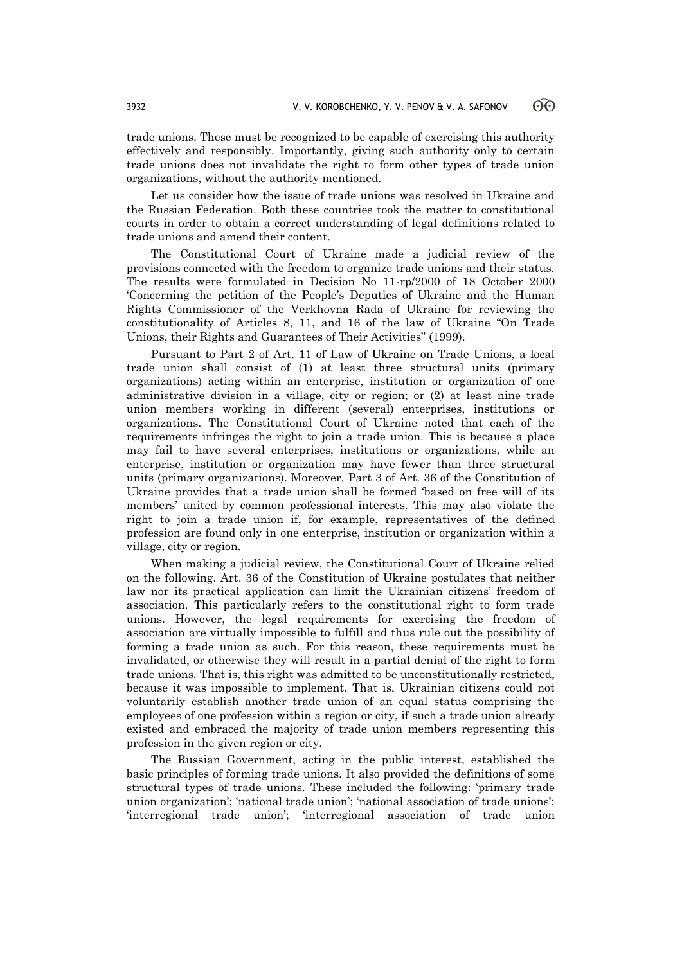trade unions. These must be recognized to be capable of exercising this authority effectively and responsibly. Importantly, giving such authority only to certain trade unions does not invalidate the right to form other types of trade union organizations, without the authority mentioned.

Let us consider how the issue of trade unions was resolved in Ukraine and the Russian Federation. Both these countries took the matter to constitutional courts in order to obtain a correct understanding of legal definitions related to trade unions and amend their content.

The Constitutional Court of Ukraine made a judicial review of the provisions connected with the freedom to organize trade unions and their status. The results were formulated in Decision No 11-rp/2000 of 18 October 2000 'Concerning the petition of the People's Deputies of Ukraine and the Human Rights Commissioner of the Verkhovna Rada of Ukraine for reviewing the constitutionality of Articles 8, 11, and 16 of the law of Ukraine "On Trade Unions, their Rights and Guarantees of Their Activities" (1999).

Pursuant to Part 2 of Art. 11 of Law of Ukraine on Trade Unions, a local trade union shall consist of (1) at least three structural units (primary organizations) acting within an enterprise, institution or organization of one administrative division in a village, city or region; or (2) at least nine trade union members working in different (several) enterprises, institutions or organizations. The Constitutional Court of Ukraine noted that each of the requirements infringes the right to join a trade union. This is because a place may fail to have several enterprises, institutions or organizations, while an enterprise, institution or organization may have fewer than three structural units (primary organizations). Moreover, Part 3 of Art. 36 of the Constitution of Ukraine provides that a trade union shall be formed 'based on free will of its members' united by common professional interests. This may also violate the right to join a trade union if, for example, representatives of the defined profession are found only in one enterprise, institution or organization within a village, city or region.

When making a judicial review, the Constitutional Court of Ukraine relied on the following. Art. 36 of the Constitution of Ukraine postulates that neither law nor its practical application can limit the Ukrainian citizens' freedom of association. This particularly refers to the constitutional right to form trade unions. However, the legal requirements for exercising the freedom of association are virtually impossible to fulfill and thus rule out the possibility of forming a trade union as such. For this reason, these requirements must be invalidated, or otherwise they will result in a partial denial of the right to form trade unions. That is, this right was admitted to be unconstitutionally restricted, because it was impossible to implement. That is, Ukrainian citizens could not voluntarily establish another trade union of an equal status comprising the employees of one profession within a region or city, if such a trade union already existed and embraced the majority of trade union members representing this profession in the given region or city.

The Russian Government, acting in the public interest, established the basic principles of forming trade unions. It also provided the definitions of some structural types of trade unions. These included the following: 'primary trade union organization'; 'national trade union'; 'national association of trade unions'; 'interregional trade union'; 'interregional association of trade union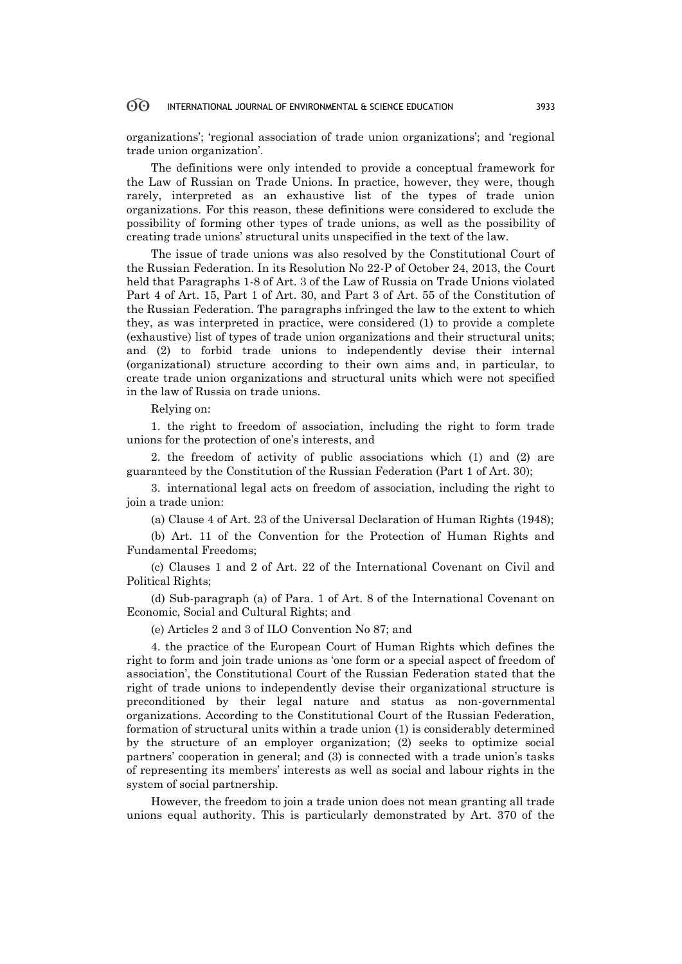organizations'; 'regional association of trade union organizations'; and 'regional trade union organization'.

The definitions were only intended to provide a conceptual framework for the Law of Russian on Trade Unions. In practice, however, they were, though rarely, interpreted as an exhaustive list of the types of trade union organizations. For this reason, these definitions were considered to exclude the possibility of forming other types of trade unions, as well as the possibility of creating trade unions' structural units unspecified in the text of the law.

The issue of trade unions was also resolved by the Constitutional Court of the Russian Federation. In its Resolution No 22-P of October 24, 2013, the Court held that Paragraphs 1-8 of Art. 3 of the Law of Russia on Trade Unions violated Part 4 of Art. 15, Part 1 of Art. 30, and Part 3 of Art. 55 of the Constitution of the Russian Federation. The paragraphs infringed the law to the extent to which they, as was interpreted in practice, were considered (1) to provide a complete (exhaustive) list of types of trade union organizations and their structural units; and (2) to forbid trade unions to independently devise their internal (organizational) structure according to their own aims and, in particular, to create trade union organizations and structural units which were not specified in the law of Russia on trade unions.

Relying on:

1. the right to freedom of association, including the right to form trade unions for the protection of one's interests, and

2. the freedom of activity of public associations which (1) and (2) are guaranteed by the Constitution of the Russian Federation (Part 1 of Art. 30);

3. international legal acts on freedom of association, including the right to join a trade union:

(a) Clause 4 of Art. 23 of the Universal Declaration of Human Rights (1948);

(b) Art. 11 of the Convention for the Protection of Human Rights and Fundamental Freedoms;

(c) Clauses 1 and 2 of Art. 22 of the International Covenant on Civil and Political Rights;

(d) Sub-paragraph (a) of Para. 1 of Art. 8 of the International Covenant on Economic, Social and Cultural Rights; and

(e) Articles 2 and 3 of ILO Convention No 87; and

4. the practice of the European Court of Human Rights which defines the right to form and join trade unions as 'one form or a special aspect of freedom of association', the Constitutional Court of the Russian Federation stated that the right of trade unions to independently devise their organizational structure is preconditioned by their legal nature and status as non-governmental organizations. According to the Constitutional Court of the Russian Federation, formation of structural units within a trade union (1) is considerably determined by the structure of an employer organization; (2) seeks to optimize social partners' cooperation in general; and (3) is connected with a trade union's tasks of representing its members' interests as well as social and labour rights in the system of social partnership.

However, the freedom to join a trade union does not mean granting all trade unions equal authority. This is particularly demonstrated by Art. 370 of the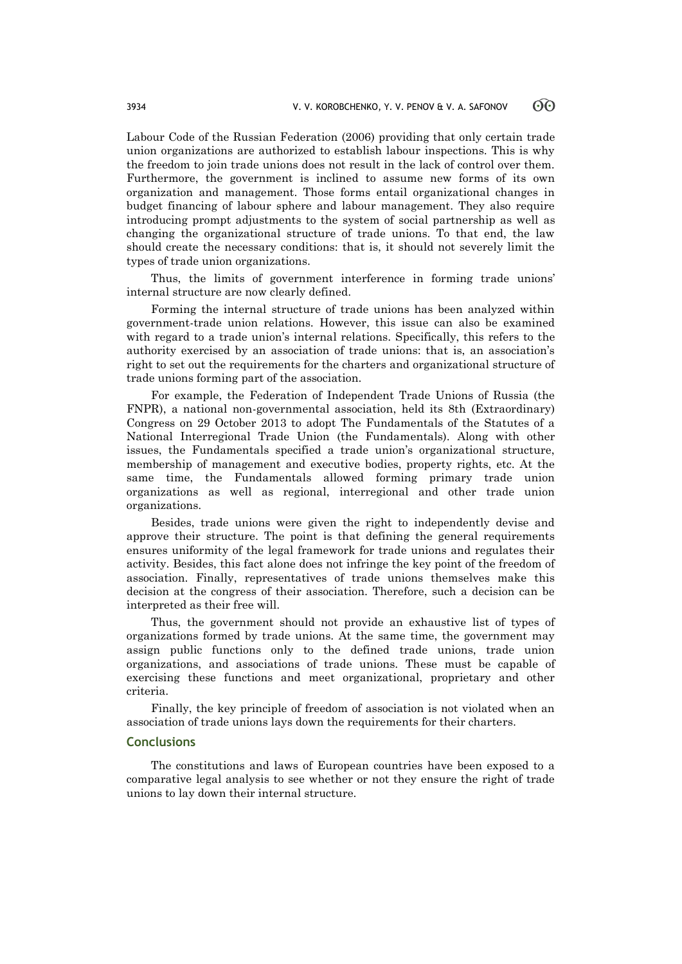Labour Code of the Russian Federation (2006) providing that only certain trade union organizations are authorized to establish labour inspections. This is why the freedom to join trade unions does not result in the lack of control over them. Furthermore, the government is inclined to assume new forms of its own organization and management. Those forms entail organizational changes in budget financing of labour sphere and labour management. They also require introducing prompt adjustments to the system of social partnership as well as changing the organizational structure of trade unions. To that end, the law should create the necessary conditions: that is, it should not severely limit the types of trade union organizations.

Thus, the limits of government interference in forming trade unions' internal structure are now clearly defined.

Forming the internal structure of trade unions has been analyzed within government-trade union relations. However, this issue can also be examined with regard to a trade union's internal relations. Specifically, this refers to the authority exercised by an association of trade unions: that is, an association's right to set out the requirements for the charters and organizational structure of trade unions forming part of the association.

For example, the Federation of Independent Trade Unions of Russia (the FNPR), a national non-governmental association, held its 8th (Extraordinary) Congress on 29 October 2013 to adopt The Fundamentals of the Statutes of a National Interregional Trade Union (the Fundamentals). Along with other issues, the Fundamentals specified a trade union's organizational structure, membership of management and executive bodies, property rights, etc. At the same time, the Fundamentals allowed forming primary trade union organizations as well as regional, interregional and other trade union organizations.

Besides, trade unions were given the right to independently devise and approve their structure. The point is that defining the general requirements ensures uniformity of the legal framework for trade unions and regulates their activity. Besides, this fact alone does not infringe the key point of the freedom of association. Finally, representatives of trade unions themselves make this decision at the congress of their association. Therefore, such a decision can be interpreted as their free will.

Thus, the government should not provide an exhaustive list of types of organizations formed by trade unions. At the same time, the government may assign public functions only to the defined trade unions, trade union organizations, and associations of trade unions. These must be capable of exercising these functions and meet organizational, proprietary and other criteria.

Finally, the key principle of freedom of association is not violated when an association of trade unions lays down the requirements for their charters.

## **Conclusions**

The constitutions and laws of European countries have been exposed to a comparative legal analysis to see whether or not they ensure the right of trade unions to lay down their internal structure.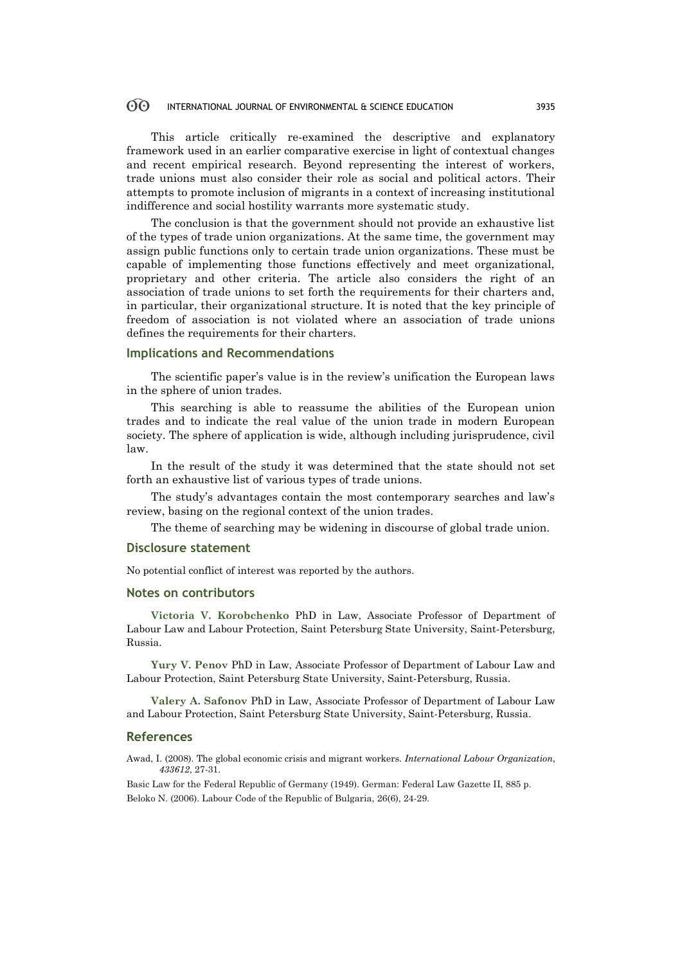This article critically re-examined the descriptive and explanatory framework used in an earlier comparative exercise in light of contextual changes and recent empirical research. Beyond representing the interest of workers, trade unions must also consider their role as social and political actors. Their attempts to promote inclusion of migrants in a context of increasing institutional indifference and social hostility warrants more systematic study.

The conclusion is that the government should not provide an exhaustive list of the types of trade union organizations. At the same time, the government may assign public functions only to certain trade union organizations. These must be capable of implementing those functions effectively and meet organizational, proprietary and other criteria. The article also considers the right of an association of trade unions to set forth the requirements for their charters and, in particular, their organizational structure. It is noted that the key principle of freedom of association is not violated where an association of trade unions defines the requirements for their charters.

### **Implications and Recommendations**

The scientific paper's value is in the review's unification the European laws in the sphere of union trades.

This searching is able to reassume the abilities of the European union trades and to indicate the real value of the union trade in modern European society. The sphere of application is wide, although including jurisprudence, civil law.

In the result of the study it was determined that the state should not set forth an exhaustive list of various types of trade unions.

The study's advantages contain the most contemporary searches and law's review, basing on the regional context of the union trades.

The theme of searching may be widening in discourse of global trade union.

### **Disclosure statement**

No potential conflict of interest was reported by the authors.

### **Notes on contributors**

**Victoria V. Korobchenko** PhD in Law, Associate Professor of Department of Labour Law and Labour Protection, Saint Petersburg State University, Saint-Petersburg, Russia.

**Yury V. Penov** PhD in Law, Associate Professor of Department of Labour Law and Labour Protection, Saint Petersburg State University, Saint-Petersburg, Russia.

**Valery A. Safonov** PhD in Law, Associate Professor of Department of Labour Law and Labour Protection, Saint Petersburg State University, Saint-Petersburg, Russia.

### **References**

Awad, I. (2008). The global economic crisis and migrant workers. *International Labour Organization*, *433612*, 27-31.

Basic Law for the Federal Republic of Germany (1949). German: Federal Law Gazette II, 885 p. Beloko N. (2006). Labour Code of the Republic of Bulgaria, 26(6), 24-29.